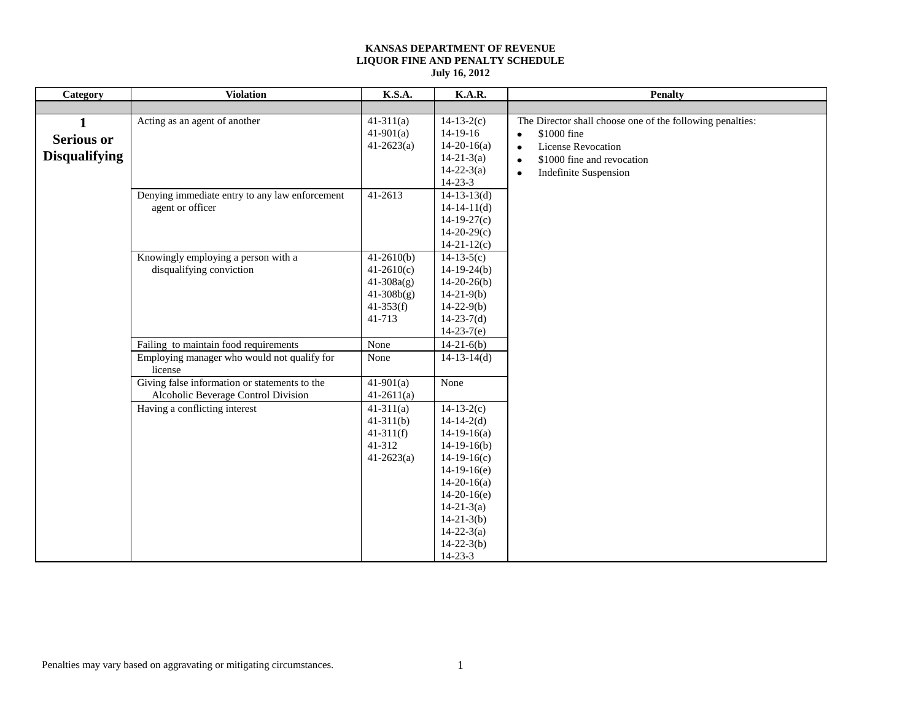| Category                                       | <b>Violation</b>                                                                     | <b>K.S.A.</b>                                                                             | <b>K.A.R.</b>                                                                                                                                                                                                                       | <b>Penalty</b>                                                                                                                                                                                                          |
|------------------------------------------------|--------------------------------------------------------------------------------------|-------------------------------------------------------------------------------------------|-------------------------------------------------------------------------------------------------------------------------------------------------------------------------------------------------------------------------------------|-------------------------------------------------------------------------------------------------------------------------------------------------------------------------------------------------------------------------|
|                                                |                                                                                      |                                                                                           |                                                                                                                                                                                                                                     |                                                                                                                                                                                                                         |
| 1<br><b>Serious or</b><br><b>Disqualifying</b> | Acting as an agent of another                                                        | $41-311(a)$<br>$41-901(a)$<br>$41-2623(a)$                                                | $14-13-2(c)$<br>$14-19-16$<br>$14-20-16(a)$<br>$14 - 21 - 3(a)$<br>$14 - 22 - 3(a)$<br>$14 - 23 - 3$                                                                                                                                | The Director shall choose one of the following penalties:<br>\$1000 fine<br>$\bullet$<br><b>License Revocation</b><br>$\bullet$<br>\$1000 fine and revocation<br>$\bullet$<br><b>Indefinite Suspension</b><br>$\bullet$ |
|                                                | Denying immediate entry to any law enforcement<br>agent or officer                   | 41-2613                                                                                   | $14-13-13(d)$<br>$14-14-11(d)$<br>$14-19-27(c)$<br>$14-20-29(c)$<br>$14-21-12(c)$                                                                                                                                                   |                                                                                                                                                                                                                         |
|                                                | Knowingly employing a person with a<br>disqualifying conviction                      | $41-2610(b)$<br>$41-2610(c)$<br>$41 - 308a(g)$<br>$41 - 308b(g)$<br>$41-353(f)$<br>41-713 | $14-13-5(c)$<br>$14-19-24(b)$<br>$14-20-26(b)$<br>$14-21-9(b)$<br>$14 - 22 - 9(b)$<br>$14-23-7(d)$<br>$14-23-7(e)$                                                                                                                  |                                                                                                                                                                                                                         |
|                                                | Failing to maintain food requirements<br>Employing manager who would not qualify for | None<br>None                                                                              | $14-21-6(b)$<br>$14-13-14(d)$                                                                                                                                                                                                       |                                                                                                                                                                                                                         |
|                                                | license                                                                              |                                                                                           |                                                                                                                                                                                                                                     |                                                                                                                                                                                                                         |
|                                                | Giving false information or statements to the<br>Alcoholic Beverage Control Division | $41-901(a)$<br>$41-2611(a)$                                                               | None                                                                                                                                                                                                                                |                                                                                                                                                                                                                         |
|                                                | Having a conflicting interest                                                        | $41-311(a)$<br>$41-311(b)$<br>$41-311(f)$<br>41-312<br>$41 - 2623(a)$                     | $14-13-2(c)$<br>$14-14-2(d)$<br>$14-19-16(a)$<br>$14-19-16(b)$<br>$14-19-16(c)$<br>$14-19-16(e)$<br>$14-20-16(a)$<br>$14-20-16(e)$<br>$14 - 21 - 3(a)$<br>$14 - 21 - 3(b)$<br>$14 - 22 - 3(a)$<br>$14 - 22 - 3(b)$<br>$14 - 23 - 3$ |                                                                                                                                                                                                                         |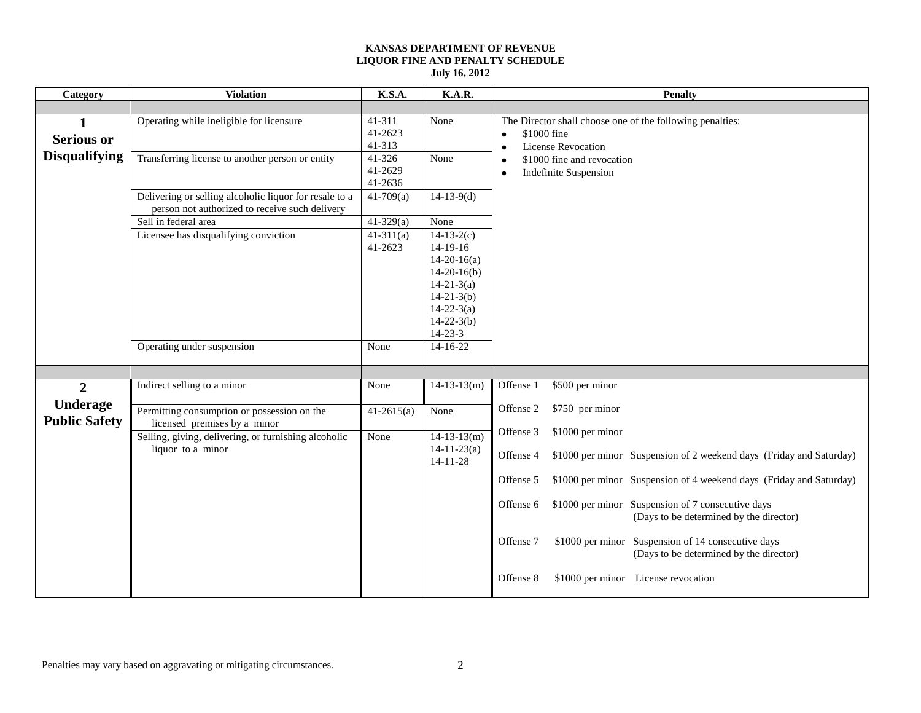| Category                                | <b>Violation</b>                                                                                         | K.S.A.                       | K.A.R.                                                                                                                                                    | <b>Penalty</b>                                                                                                          |
|-----------------------------------------|----------------------------------------------------------------------------------------------------------|------------------------------|-----------------------------------------------------------------------------------------------------------------------------------------------------------|-------------------------------------------------------------------------------------------------------------------------|
|                                         |                                                                                                          |                              |                                                                                                                                                           |                                                                                                                         |
| 1<br><b>Serious or</b>                  | Operating while ineligible for licensure                                                                 | 41-311<br>41-2623<br>41-313  | None                                                                                                                                                      | The Director shall choose one of the following penalties:<br>\$1000 fine<br>$\bullet$<br><b>License Revocation</b><br>٠ |
| <b>Disqualifying</b>                    | Transferring license to another person or entity                                                         | 41-326<br>41-2629<br>41-2636 | None                                                                                                                                                      | \$1000 fine and revocation<br>$\bullet$<br><b>Indefinite Suspension</b><br>$\bullet$                                    |
|                                         | Delivering or selling alcoholic liquor for resale to a<br>person not authorized to receive such delivery | $41-709(a)$                  | $14-13-9(d)$                                                                                                                                              |                                                                                                                         |
|                                         | Sell in federal area                                                                                     | $41-329(a)$                  | None                                                                                                                                                      |                                                                                                                         |
|                                         | Licensee has disqualifying conviction                                                                    | $41-311(a)$<br>41-2623       | $14-13-2(c)$<br>$14-19-16$<br>$14-20-16(a)$<br>$14-20-16(b)$<br>$14 - 21 - 3(a)$<br>$14-21-3(b)$<br>$14 - 22 - 3(a)$<br>$14 - 22 - 3(b)$<br>$14 - 23 - 3$ |                                                                                                                         |
|                                         | Operating under suspension                                                                               | None                         | $14 - 16 - 22$                                                                                                                                            |                                                                                                                         |
|                                         |                                                                                                          |                              |                                                                                                                                                           |                                                                                                                         |
| $\overline{2}$                          | Indirect selling to a minor                                                                              | None                         | $14-13-13(m)$                                                                                                                                             | \$500 per minor<br>Offense 1                                                                                            |
| <b>Underage</b><br><b>Public Safety</b> | Permitting consumption or possession on the<br>licensed premises by a minor                              | $41-2615(a)$                 | None                                                                                                                                                      | Offense 2<br>\$750 per minor                                                                                            |
|                                         | Selling, giving, delivering, or furnishing alcoholic                                                     | None                         | $14-13-13(m)$                                                                                                                                             | \$1000 per minor<br>Offense 3                                                                                           |
|                                         | liquor to a minor                                                                                        |                              | $14 - 11 - 23$ (a)<br>$14 - 11 - 28$                                                                                                                      | \$1000 per minor Suspension of 2 weekend days (Friday and Saturday)<br>Offense 4                                        |
|                                         |                                                                                                          |                              |                                                                                                                                                           | Offense 5<br>\$1000 per minor Suspension of 4 weekend days (Friday and Saturday)                                        |
|                                         |                                                                                                          |                              |                                                                                                                                                           | \$1000 per minor Suspension of 7 consecutive days<br>Offense 6<br>(Days to be determined by the director)               |
|                                         |                                                                                                          |                              |                                                                                                                                                           | \$1000 per minor Suspension of 14 consecutive days<br>Offense 7<br>(Days to be determined by the director)              |
|                                         |                                                                                                          |                              |                                                                                                                                                           | Offense 8<br>\$1000 per minor License revocation                                                                        |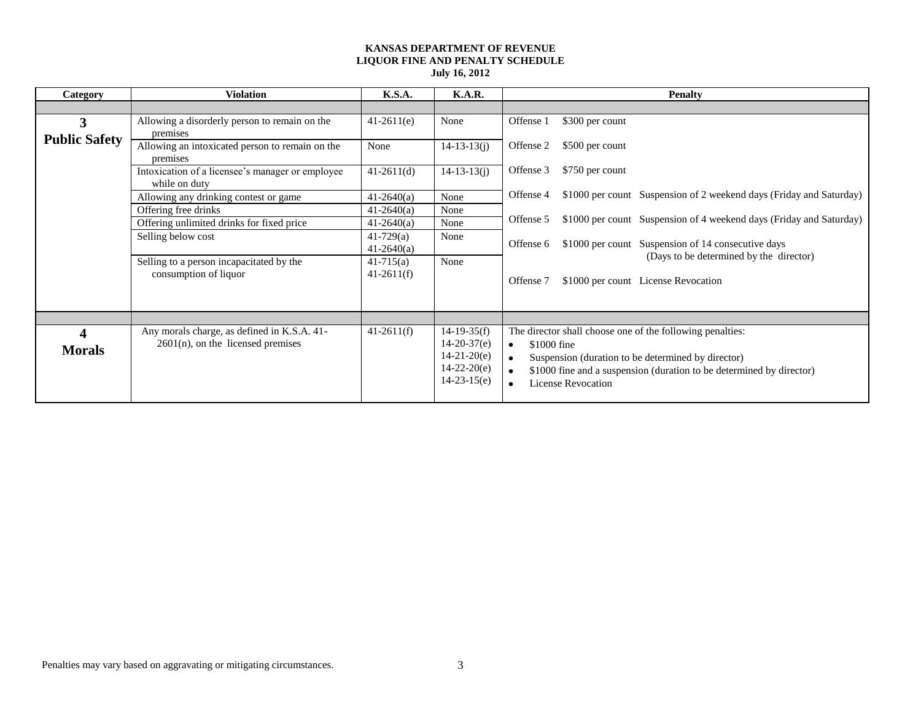| Category             | <b>Violation</b>                                                  | K.S.A.         | <b>K.A.R.</b>     | <b>Penalty</b>                                                                   |
|----------------------|-------------------------------------------------------------------|----------------|-------------------|----------------------------------------------------------------------------------|
|                      |                                                                   |                |                   |                                                                                  |
| 3                    | Allowing a disorderly person to remain on the                     | $41-2611(e)$   | None              | Offense 1<br>\$300 per count                                                     |
| <b>Public Safety</b> | premises                                                          |                |                   |                                                                                  |
|                      | Allowing an intoxicated person to remain on the                   | None           | $14 - 13 - 13(j)$ | Offense 2<br>\$500 per count                                                     |
|                      | premises                                                          |                |                   |                                                                                  |
|                      | Intoxication of a licensee's manager or employee<br>while on duty | $41-2611(d)$   | $14 - 13 - 13(i)$ | Offense 3<br>\$750 per count                                                     |
|                      | Allowing any drinking contest or game                             | $41 - 2640(a)$ | None              | Offense 4<br>\$1000 per count Suspension of 2 weekend days (Friday and Saturday) |
|                      | Offering free drinks                                              | $41-2640(a)$   | None              |                                                                                  |
|                      | Offering unlimited drinks for fixed price                         | $41 - 2640(a)$ | None              | \$1000 per count Suspension of 4 weekend days (Friday and Saturday)<br>Offense 5 |
|                      | Selling below cost                                                | $41 - 729$ (a) | None              | \$1000 per count Suspension of 14 consecutive days<br>Offense 6                  |
|                      |                                                                   | $41 - 2640(a)$ |                   | (Days to be determined by the director)                                          |
|                      | Selling to a person incapacitated by the                          | $41 - 715$ (a) | None              |                                                                                  |
|                      | consumption of liquor                                             | $41-2611(f)$   |                   | Offense 7<br>\$1000 per count License Revocation                                 |
|                      |                                                                   |                |                   |                                                                                  |
|                      |                                                                   |                |                   |                                                                                  |
|                      |                                                                   |                |                   |                                                                                  |
| 4                    | Any morals charge, as defined in K.S.A. 41-                       | $41-2611(f)$   | $14-19-35(f)$     | The director shall choose one of the following penalties:                        |
| <b>Morals</b>        | $2601(n)$ , on the licensed premises                              |                | $14-20-37(e)$     | \$1000 fine<br>$\bullet$                                                         |
|                      |                                                                   |                | $14-21-20(e)$     | Suspension (duration to be determined by director)                               |
|                      |                                                                   |                | $14 - 22 - 20(e)$ | \$1000 fine and a suspension (duration to be determined by director)             |
|                      |                                                                   |                | $14-23-15(e)$     | <b>License Revocation</b>                                                        |
|                      |                                                                   |                |                   |                                                                                  |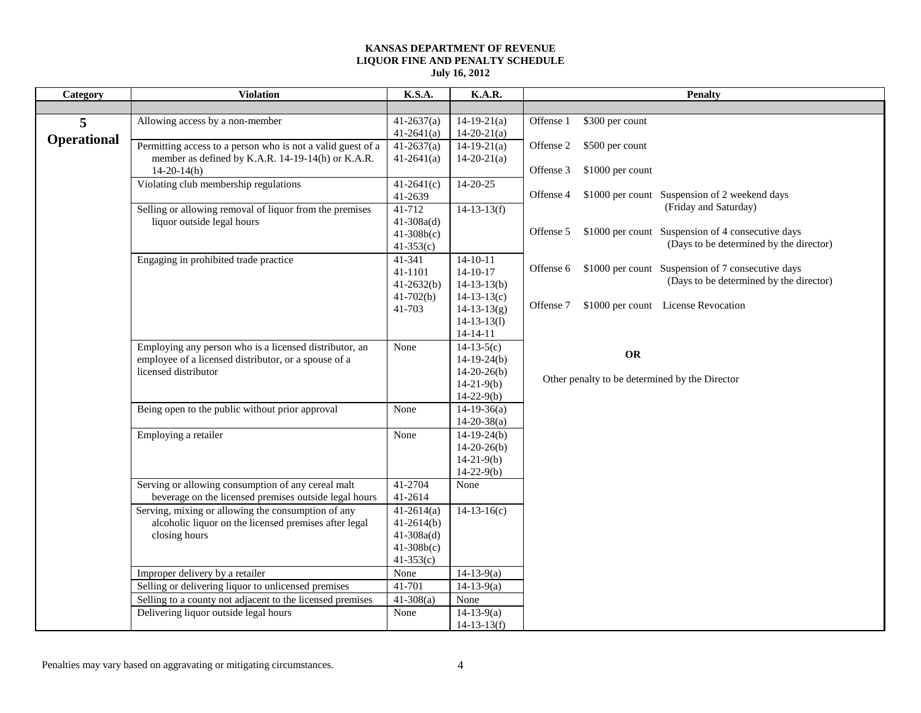| Category           | <b>Violation</b>                                                                                                                       | K.S.A.                                                                        | <b>K.A.R.</b>                                                             | <b>Penalty</b>                                                                                                                     |
|--------------------|----------------------------------------------------------------------------------------------------------------------------------------|-------------------------------------------------------------------------------|---------------------------------------------------------------------------|------------------------------------------------------------------------------------------------------------------------------------|
|                    |                                                                                                                                        |                                                                               |                                                                           |                                                                                                                                    |
| 5                  | Allowing access by a non-member                                                                                                        | $41-2637(a)$<br>$41-2641(a)$                                                  | $14-19-21(a)$<br>$14-20-21(a)$                                            | \$300 per count<br>Offense 1                                                                                                       |
| <b>Operational</b> | Permitting access to a person who is not a valid guest of a<br>member as defined by K.A.R. 14-19-14(h) or K.A.R.<br>$14-20-14(h)$      | $41 - 2637(a)$<br>$41-2641(a)$                                                | $14-19-21(a)$<br>$14-20-21(a)$                                            | \$500 per count<br>Offense 2<br>\$1000 per count<br>Offense 3                                                                      |
|                    | Violating club membership regulations                                                                                                  | $41-2641(c)$<br>41-2639                                                       | $14 - 20 - 25$                                                            | \$1000 per count Suspension of 2 weekend days<br>Offense 4                                                                         |
|                    | Selling or allowing removal of liquor from the premises<br>liquor outside legal hours                                                  | 41-712<br>$41 - 308a(d)$<br>$41-308b(c)$<br>$41-353(c)$                       | $14-13-13(f)$                                                             | (Friday and Saturday)<br>\$1000 per count Suspension of 4 consecutive days<br>Offense 5<br>(Days to be determined by the director) |
|                    | Engaging in prohibited trade practice                                                                                                  | 41-341<br>41-1101<br>$41-2632(b)$                                             | $14-10-11$<br>$14 - 10 - 17$<br>$14-13-13(b)$                             | \$1000 per count Suspension of 7 consecutive days<br>Offense 6<br>(Days to be determined by the director)                          |
|                    |                                                                                                                                        | $41-702(b)$<br>41-703                                                         | $14-13-13(c)$<br>$14 - 13 - 13(g)$<br>$14 - 13 - 13(1)$<br>$14 - 14 - 11$ | \$1000 per count License Revocation<br>Offense 7                                                                                   |
|                    | Employing any person who is a licensed distributor, an<br>employee of a licensed distributor, or a spouse of a<br>licensed distributor | None                                                                          | $14-13-5(c)$<br>$14-19-24(b)$<br>$14-20-26(b)$<br>$14-21-9(b)$            | <b>OR</b><br>Other penalty to be determined by the Director                                                                        |
|                    | Being open to the public without prior approval                                                                                        | None                                                                          | $14-22-9(b)$<br>$14-19-36(a)$<br>$14 - 20 - 38(a)$                        |                                                                                                                                    |
|                    | Employing a retailer                                                                                                                   | None                                                                          | $14-19-24(b)$<br>$14-20-26(b)$<br>$14-21-9(b)$<br>$14-22-9(b)$            |                                                                                                                                    |
|                    | Serving or allowing consumption of any cereal malt<br>beverage on the licensed premises outside legal hours                            | 41-2704<br>41-2614                                                            | None                                                                      |                                                                                                                                    |
|                    | Serving, mixing or allowing the consumption of any<br>alcoholic liquor on the licensed premises after legal<br>closing hours           | $41-2614(a)$<br>$41-2614(b)$<br>$41 - 308a(d)$<br>$41-308b(c)$<br>$41-353(c)$ | $14-13-16(c)$                                                             |                                                                                                                                    |
|                    | Improper delivery by a retailer                                                                                                        | None                                                                          | $14-13-9(a)$                                                              |                                                                                                                                    |
|                    | Selling or delivering liquor to unlicensed premises                                                                                    | 41-701                                                                        | $14-13-9(a)$                                                              |                                                                                                                                    |
|                    | Selling to a county not adjacent to the licensed premises                                                                              | $41-308(a)$                                                                   | None                                                                      |                                                                                                                                    |
|                    | Delivering liquor outside legal hours                                                                                                  | None                                                                          | $14-13-9(a)$<br>$14-13-13(f)$                                             |                                                                                                                                    |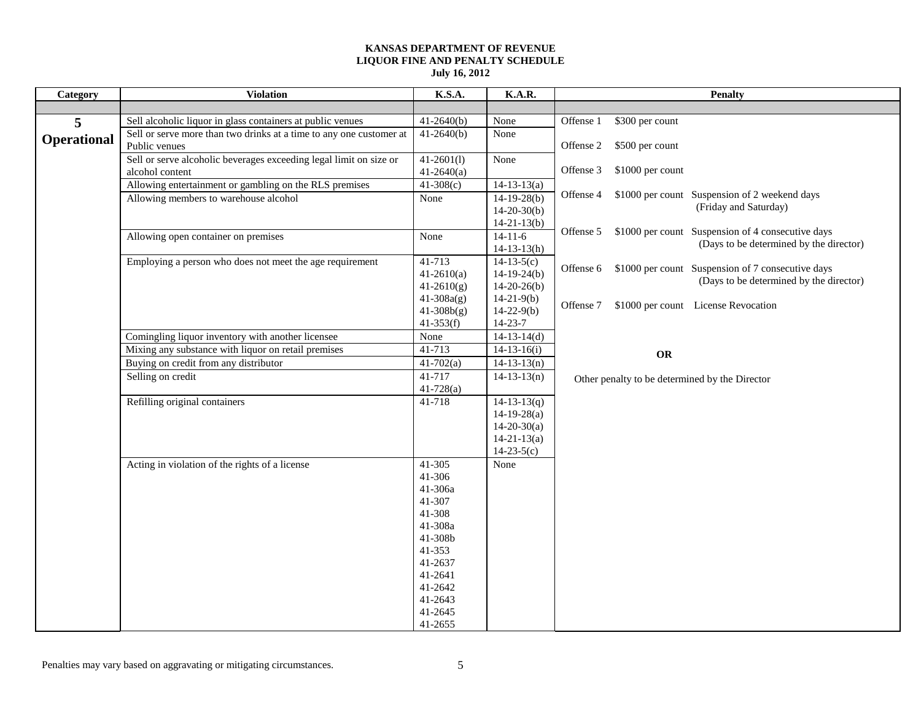| Category           | <b>Violation</b>                                                                      | K.S.A.                                                                                                                                            | K.A.R.                                                                                       | <b>Penalty</b>                                                                                            |
|--------------------|---------------------------------------------------------------------------------------|---------------------------------------------------------------------------------------------------------------------------------------------------|----------------------------------------------------------------------------------------------|-----------------------------------------------------------------------------------------------------------|
|                    |                                                                                       |                                                                                                                                                   |                                                                                              |                                                                                                           |
| 5                  | Sell alcoholic liquor in glass containers at public venues                            | $41-2640(b)$                                                                                                                                      | None                                                                                         | Offense 1<br>\$300 per count                                                                              |
| <b>Operational</b> | Sell or serve more than two drinks at a time to any one customer at<br>Public venues  | $41-2640(b)$                                                                                                                                      | None                                                                                         | Offense 2<br>\$500 per count                                                                              |
|                    | Sell or serve alcoholic beverages exceeding legal limit on size or<br>alcohol content | $41-2601(l)$<br>$41-2640(a)$                                                                                                                      | None                                                                                         | \$1000 per count<br>Offense 3                                                                             |
|                    | Allowing entertainment or gambling on the RLS premises                                | $41-308(c)$                                                                                                                                       | $14 - 13 - 13(a)$                                                                            |                                                                                                           |
|                    | Allowing members to warehouse alcohol                                                 | None                                                                                                                                              | $14-19-28(b)$<br>$14-20-30(b)$<br>$14 - 21 - 13(b)$                                          | Offense 4<br>\$1000 per count Suspension of 2 weekend days<br>(Friday and Saturday)                       |
|                    | Allowing open container on premises                                                   | None                                                                                                                                              | $14-11-6$<br>$14-13-13(h)$                                                                   | \$1000 per count Suspension of 4 consecutive days<br>Offense 5<br>(Days to be determined by the director) |
|                    | Employing a person who does not meet the age requirement                              | 41-713<br>$41-2610(a)$<br>$41-2610(g)$                                                                                                            | $14-13-5(c)$<br>$14-19-24(b)$<br>$14-20-26(b)$                                               | \$1000 per count Suspension of 7 consecutive days<br>Offense 6<br>(Days to be determined by the director) |
|                    |                                                                                       | $41 - 308a(g)$<br>$41-308b(g)$<br>$41-353(f)$                                                                                                     | $14-21-9(b)$<br>$14 - 22 - 9(b)$<br>$14 - 23 - 7$                                            | \$1000 per count License Revocation<br>Offense 7                                                          |
|                    | Comingling liquor inventory with another licensee                                     | None                                                                                                                                              | $14-13-14(d)$                                                                                |                                                                                                           |
|                    | Mixing any substance with liquor on retail premises                                   | 41-713                                                                                                                                            | $14-13-16(i)$                                                                                |                                                                                                           |
|                    | Buying on credit from any distributor                                                 | $41 - 702(a)$                                                                                                                                     | $14 - 13 - 13(n)$                                                                            | <b>OR</b>                                                                                                 |
|                    | Selling on credit                                                                     | 41-717                                                                                                                                            | $14-13-13(n)$                                                                                | Other penalty to be determined by the Director                                                            |
|                    |                                                                                       | $41 - 728$ (a)                                                                                                                                    |                                                                                              |                                                                                                           |
|                    | Refilling original containers                                                         | 41-718                                                                                                                                            | $14 - 13 - 13(q)$<br>$14-19-28(a)$<br>$14 - 20 - 30(a)$<br>$14 - 21 - 13(a)$<br>$14-23-5(c)$ |                                                                                                           |
|                    | Acting in violation of the rights of a license                                        | 41-305<br>41-306<br>41-306a<br>41-307<br>41-308<br>41-308a<br>41-308b<br>41-353<br>41-2637<br>41-2641<br>41-2642<br>41-2643<br>41-2645<br>41-2655 | None                                                                                         |                                                                                                           |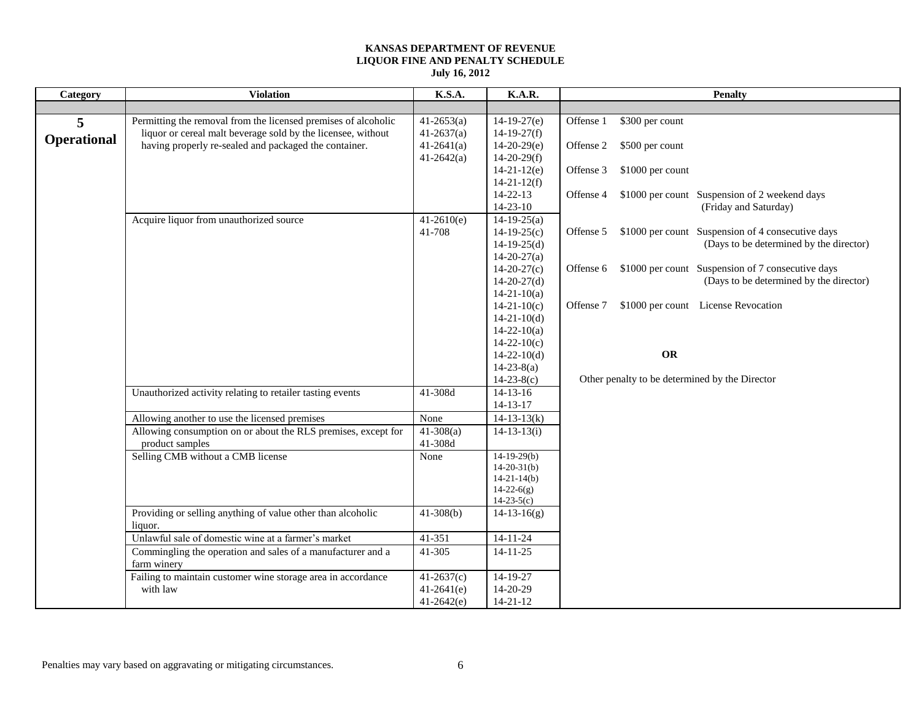| Category           | <b>Violation</b>                                               | K.S.A.                 | K.A.R.                             | <b>Penalty</b>                                                                      |
|--------------------|----------------------------------------------------------------|------------------------|------------------------------------|-------------------------------------------------------------------------------------|
|                    |                                                                |                        |                                    |                                                                                     |
| 5                  | Permitting the removal from the licensed premises of alcoholic | $41-2653(a)$           | $14-19-27(e)$                      | \$300 per count<br>Offense 1                                                        |
| <b>Operational</b> | liquor or cereal malt beverage sold by the licensee, without   | $41-2637(a)$           | $14-19-27(f)$                      |                                                                                     |
|                    | having properly re-sealed and packaged the container.          | $41 - 2641(a)$         | $14-20-29(e)$                      | \$500 per count<br>Offense 2                                                        |
|                    |                                                                | $41 - 2642$ (a)        | $14-20-29(f)$                      |                                                                                     |
|                    |                                                                |                        | $14-21-12(e)$                      | \$1000 per count<br>Offense 3                                                       |
|                    |                                                                |                        | $14 - 21 - 12(f)$                  |                                                                                     |
|                    |                                                                |                        | $14 - 22 - 13$<br>$14 - 23 - 10$   | Offense 4<br>\$1000 per count Suspension of 2 weekend days<br>(Friday and Saturday) |
|                    |                                                                |                        |                                    |                                                                                     |
|                    | Acquire liquor from unauthorized source                        | $41-2610(e)$<br>41-708 | $14-19-25(a)$<br>$14-19-25(c)$     | \$1000 per count Suspension of 4 consecutive days<br>Offense 5                      |
|                    |                                                                |                        | $14-19-25(d)$                      | (Days to be determined by the director)                                             |
|                    |                                                                |                        | $14 - 20 - 27(a)$                  |                                                                                     |
|                    |                                                                |                        | $14-20-27(c)$                      | \$1000 per count Suspension of 7 consecutive days<br>Offense 6                      |
|                    |                                                                |                        | $14-20-27(d)$                      | (Days to be determined by the director)                                             |
|                    |                                                                |                        | $14 - 21 - 10(a)$                  |                                                                                     |
|                    |                                                                |                        | $14-21-10(c)$                      | \$1000 per count License Revocation<br>Offense 7                                    |
|                    |                                                                |                        | $14-21-10(d)$                      |                                                                                     |
|                    |                                                                |                        | $14 - 22 - 10(a)$                  |                                                                                     |
|                    |                                                                |                        | $14-22-10(c)$                      |                                                                                     |
|                    |                                                                |                        | $14 - 22 - 10(d)$                  | <b>OR</b>                                                                           |
|                    |                                                                |                        | $14 - 23 - 8(a)$                   |                                                                                     |
|                    |                                                                |                        | $14 - 23 - 8(c)$                   | Other penalty to be determined by the Director                                      |
|                    | Unauthorized activity relating to retailer tasting events      | 41-308d                | $14 - 13 - 16$                     |                                                                                     |
|                    |                                                                |                        | $14 - 13 - 17$                     |                                                                                     |
|                    | Allowing another to use the licensed premises                  | None                   | $14 - 13 - 13(k)$                  |                                                                                     |
|                    | Allowing consumption on or about the RLS premises, except for  | $41-308(a)$            | $14 - 13 - 13(i)$                  |                                                                                     |
|                    | product samples                                                | 41-308d                |                                    |                                                                                     |
|                    | Selling CMB without a CMB license                              | None                   | $14-19-29(b)$                      |                                                                                     |
|                    |                                                                |                        | $14 - 20 - 31(b)$<br>$14-21-14(b)$ |                                                                                     |
|                    |                                                                |                        | $14 - 22 - 6(g)$                   |                                                                                     |
|                    |                                                                |                        | $14 - 23 - 5(c)$                   |                                                                                     |
|                    | Providing or selling anything of value other than alcoholic    | $41-308(b)$            | $14-13-16(g)$                      |                                                                                     |
|                    | liquor.                                                        |                        |                                    |                                                                                     |
|                    | Unlawful sale of domestic wine at a farmer's market            | $41 - 351$             | $14 - 11 - 24$                     |                                                                                     |
|                    | Commingling the operation and sales of a manufacturer and a    | 41-305                 | $14 - 11 - 25$                     |                                                                                     |
|                    | farm winery                                                    |                        |                                    |                                                                                     |
|                    | Failing to maintain customer wine storage area in accordance   | $41-2637(c)$           | 14-19-27                           |                                                                                     |
|                    | with law                                                       | $41-2641(e)$           | 14-20-29                           |                                                                                     |
|                    |                                                                | $41-2642(e)$           | $14 - 21 - 12$                     |                                                                                     |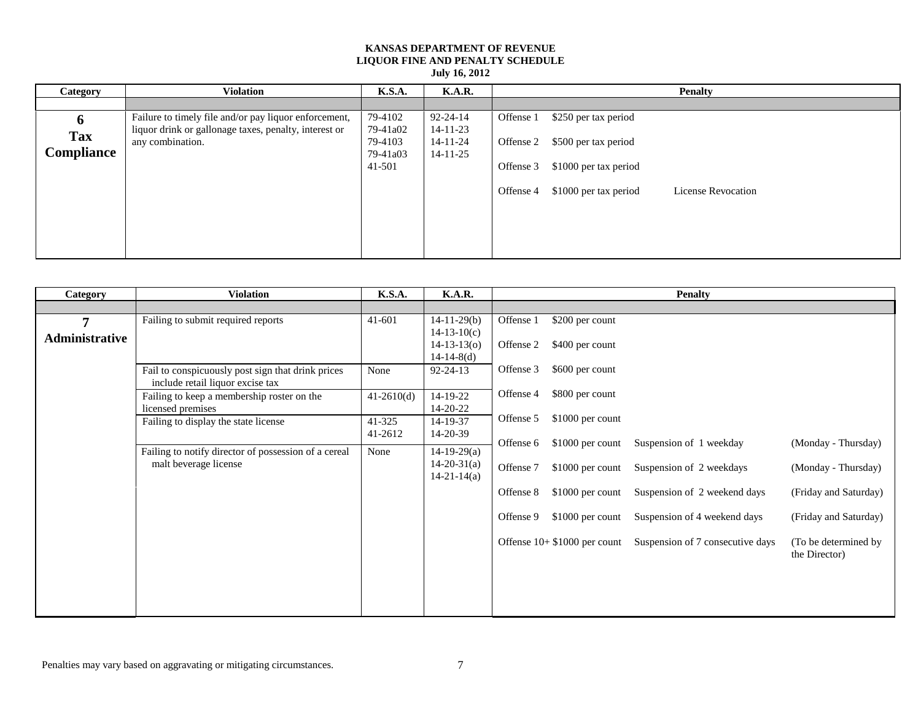**July 16, 2012**

| Category          | <b>Violation</b>                                      | <b>K.S.A.</b> | <b>K.A.R.</b>  |           |                       | <b>Penalty</b>     |
|-------------------|-------------------------------------------------------|---------------|----------------|-----------|-----------------------|--------------------|
|                   |                                                       |               |                |           |                       |                    |
| 6                 | Failure to timely file and/or pay liquor enforcement, | 79-4102       | $92 - 24 - 14$ | Offense 1 | \$250 per tax period  |                    |
| <b>Tax</b>        | liquor drink or gallonage taxes, penalty, interest or | 79-41a02      | $14 - 11 - 23$ |           |                       |                    |
|                   | any combination.                                      | 79-4103       | 14-11-24       | Offense 2 | \$500 per tax period  |                    |
| <b>Compliance</b> |                                                       | 79-41a03      | $14 - 11 - 25$ |           |                       |                    |
|                   |                                                       | 41-501        |                | Offense 3 | \$1000 per tax period |                    |
|                   |                                                       |               |                |           |                       |                    |
|                   |                                                       |               |                | Offense 4 | \$1000 per tax period | License Revocation |
|                   |                                                       |               |                |           |                       |                    |
|                   |                                                       |               |                |           |                       |                    |
|                   |                                                       |               |                |           |                       |                    |
|                   |                                                       |               |                |           |                       |                    |
|                   |                                                       |               |                |           |                       |                    |

| Category       | <b>Violation</b>                                                                      | <b>K.S.A.</b> | <b>K.A.R.</b>     |           |                               | <b>Penalty</b>                   |                       |
|----------------|---------------------------------------------------------------------------------------|---------------|-------------------|-----------|-------------------------------|----------------------------------|-----------------------|
|                |                                                                                       |               |                   |           |                               |                                  |                       |
| 7              | Failing to submit required reports                                                    | 41-601        | $14-11-29(b)$     | Offense 1 | \$200 per count               |                                  |                       |
| Administrative |                                                                                       |               | $14-13-10(c)$     |           |                               |                                  |                       |
|                |                                                                                       |               | $14 - 13 - 13(0)$ | Offense 2 | \$400 per count               |                                  |                       |
|                |                                                                                       |               | $14-14-8(d)$      |           |                               |                                  |                       |
|                | Fail to conspicuously post sign that drink prices<br>include retail liquor excise tax | None          | $92 - 24 - 13$    | Offense 3 | \$600 per count               |                                  |                       |
|                | Failing to keep a membership roster on the                                            | $41-2610(d)$  | 14-19-22          | Offense 4 | \$800 per count               |                                  |                       |
|                | licensed premises                                                                     |               | 14-20-22          |           |                               |                                  |                       |
|                | Failing to display the state license                                                  | 41-325        | 14-19-37          | Offense 5 | $$1000$ per count             |                                  |                       |
|                |                                                                                       | 41-2612       | 14-20-39          |           |                               |                                  |                       |
|                | Failing to notify director of possession of a cereal                                  | None          | $14-19-29(a)$     | Offense 6 | $$1000$ per count             | Suspension of 1 weekday          | (Monday - Thursday)   |
|                | malt beverage license                                                                 |               | $14 - 20 - 31(a)$ |           |                               |                                  |                       |
|                |                                                                                       |               | $14 - 21 - 14(a)$ | Offense 7 | $$1000$ per count             | Suspension of 2 weekdays         | (Monday - Thursday)   |
|                |                                                                                       |               |                   | Offense 8 | $$1000$ per count             | Suspension of 2 weekend days     | (Friday and Saturday) |
|                |                                                                                       |               |                   |           |                               |                                  |                       |
|                |                                                                                       |               |                   | Offense 9 | $$1000$ per count             | Suspension of 4 weekend days     | (Friday and Saturday) |
|                |                                                                                       |               |                   |           |                               |                                  |                       |
|                |                                                                                       |               |                   |           | Offense $10+ $1000$ per count | Suspension of 7 consecutive days | (To be determined by) |
|                |                                                                                       |               |                   |           |                               |                                  | the Director)         |
|                |                                                                                       |               |                   |           |                               |                                  |                       |
|                |                                                                                       |               |                   |           |                               |                                  |                       |
|                |                                                                                       |               |                   |           |                               |                                  |                       |
|                |                                                                                       |               |                   |           |                               |                                  |                       |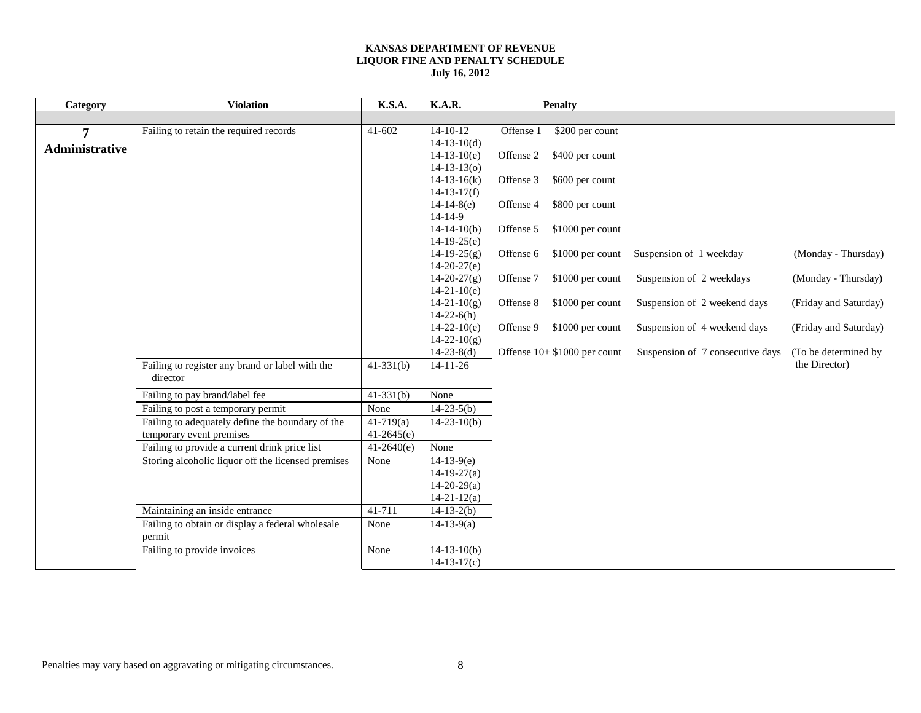| Category       | <b>Violation</b>                                                                       | K.S.A.                         | $\overline{K}$ .A.R.                   |           | <b>Penalty</b>               |                                  |                       |
|----------------|----------------------------------------------------------------------------------------|--------------------------------|----------------------------------------|-----------|------------------------------|----------------------------------|-----------------------|
|                |                                                                                        |                                |                                        |           |                              |                                  |                       |
| 7              | Failing to retain the required records                                                 | $41 - 602$                     | $14 - 10 - 12$                         | Offense 1 | \$200 per count              |                                  |                       |
| Administrative |                                                                                        |                                | $14 - 13 - 10(d)$                      |           |                              |                                  |                       |
|                |                                                                                        |                                | $14-13-10(e)$                          | Offense 2 | \$400 per count              |                                  |                       |
|                |                                                                                        |                                | $14 - 13 - 13(0)$                      |           |                              |                                  |                       |
|                |                                                                                        |                                | $14 - 13 - 16(k)$<br>$14 - 13 - 17(f)$ | Offense 3 | \$600 per count              |                                  |                       |
|                |                                                                                        |                                | $14-14-8(e)$                           | Offense 4 | \$800 per count              |                                  |                       |
|                |                                                                                        |                                | $14 - 14 - 9$                          |           |                              |                                  |                       |
|                |                                                                                        |                                | $14 - 14 - 10(b)$                      | Offense 5 | \$1000 per count             |                                  |                       |
|                |                                                                                        |                                | $14-19-25(e)$                          |           |                              |                                  |                       |
|                |                                                                                        |                                | $14-19-25(g)$                          | Offense 6 | $$1000$ per count            | Suspension of 1 weekday          | (Monday - Thursday)   |
|                |                                                                                        |                                | $14-20-27(e)$                          |           |                              |                                  |                       |
|                |                                                                                        |                                | $14 - 20 - 27(g)$                      | Offense 7 | \$1000 per count             | Suspension of 2 weekdays         | (Monday - Thursday)   |
|                |                                                                                        |                                | $14-21-10(e)$                          |           |                              |                                  |                       |
|                |                                                                                        |                                | $14 - 21 - 10(g)$                      | Offense 8 | \$1000 per count             | Suspension of 2 weekend days     | (Friday and Saturday) |
|                |                                                                                        |                                | $14-22-6(h)$                           |           |                              |                                  |                       |
|                |                                                                                        |                                | $14-22-10(e)$<br>$14 - 22 - 10(g)$     | Offense 9 | \$1000 per count             | Suspension of 4 weekend days     | (Friday and Saturday) |
|                |                                                                                        |                                | $14-23-8(d)$                           |           | Offense 10+ \$1000 per count | Suspension of 7 consecutive days | (To be determined by  |
|                | Failing to register any brand or label with the                                        | $41-331(b)$                    | $14 - 11 - 26$                         |           |                              |                                  | the Director)         |
|                | director                                                                               |                                |                                        |           |                              |                                  |                       |
|                |                                                                                        | $41-331(b)$                    | None                                   |           |                              |                                  |                       |
|                | Failing to pay brand/label fee                                                         | None                           | $14-23-5(b)$                           |           |                              |                                  |                       |
|                | Failing to post a temporary permit<br>Failing to adequately define the boundary of the |                                |                                        |           |                              |                                  |                       |
|                | temporary event premises                                                               | $41 - 719$ (a)<br>$41-2645(e)$ | $14 - 23 - 10(b)$                      |           |                              |                                  |                       |
|                | Failing to provide a current drink price list                                          | $41-2640(e)$                   | None                                   |           |                              |                                  |                       |
|                | Storing alcoholic liquor off the licensed premises                                     | None                           | $14-13-9(e)$                           |           |                              |                                  |                       |
|                |                                                                                        |                                | $14-19-27(a)$                          |           |                              |                                  |                       |
|                |                                                                                        |                                | $14-20-29(a)$                          |           |                              |                                  |                       |
|                |                                                                                        |                                | $14 - 21 - 12(a)$                      |           |                              |                                  |                       |
|                | Maintaining an inside entrance                                                         | 41-711                         | $14-13-2(b)$                           |           |                              |                                  |                       |
|                | Failing to obtain or display a federal wholesale                                       | None                           | $14-13-9(a)$                           |           |                              |                                  |                       |
|                | permit                                                                                 |                                |                                        |           |                              |                                  |                       |
|                | Failing to provide invoices                                                            | None                           | $14 - 13 - 10(b)$                      |           |                              |                                  |                       |
|                |                                                                                        |                                | $14 - 13 - 17(c)$                      |           |                              |                                  |                       |